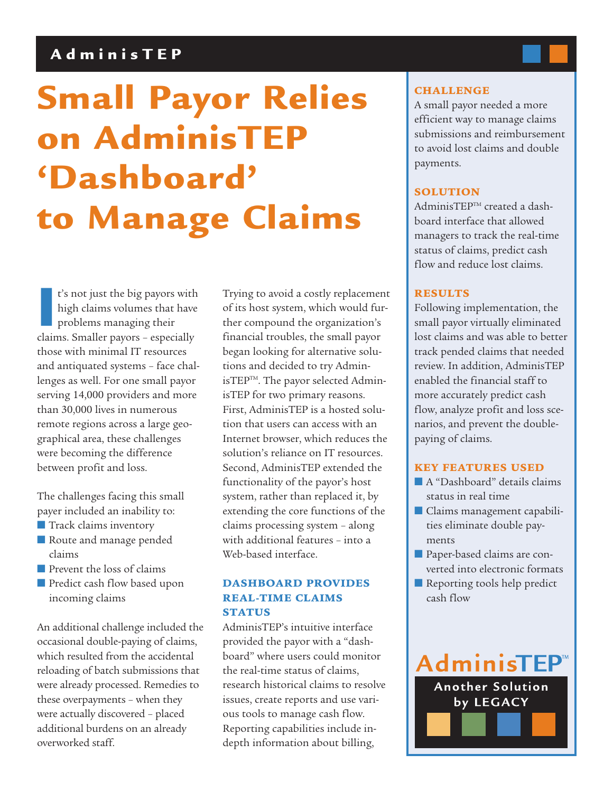# **AdminisTEP**

# **Small Payor Relies on AdminisTEP 'Dashboard' to Manage Claims**

**I**<sup>c</sup>s not just the big payors with high claims volumes that have problems managing their claims. Smaller payors - especially t's not just the big payors with high claims volumes that have problems managing their those with minimal IT resources and antiquated systems – face challenges as well. For one small payor serving 14,000 providers and more than 30,000 lives in numerous remote regions across a large geographical area, these challenges were becoming the difference between profit and loss.

The challenges facing this small payer included an inability to:

- Track claims inventory
- Route and manage pended claims
- Prevent the loss of claims
- Predict cash flow based upon incoming claims

An additional challenge included the occasional double-paying of claims, which resulted from the accidental reloading of batch submissions that were already processed. Remedies to these overpayments – when they were actually discovered – placed additional burdens on an already overworked staff.

Trying to avoid a costly replacement of its host system, which would further compound the organization's financial troubles, the small payor began looking for alternative solutions and decided to try AdminisTEP<sup>™</sup>. The payor selected AdminisTEP for two primary reasons. First, AdminisTEP is a hosted solution that users can access with an Internet browser, which reduces the solution's reliance on IT resources. Second, AdminisTEP extended the functionality of the payor's host system, rather than replaced it, by extending the core functions of the claims processing system – along with additional features – into a Web-based interface.

## **DASHBOARD PROVIDES REAL-TIME CLAIMS STATUS**

AdminisTEP's intuitive interface provided the payor with a "dashboard" where users could monitor the real-time status of claims, research historical claims to resolve issues, create reports and use various tools to manage cash flow. Reporting capabilities include indepth information about billing,

## **CHALLENGE**

A small payor needed a more efficient way to manage claims submissions and reimbursement to avoid lost claims and double payments.

### **SOLUTION**

AdminisTEPTM created a dashboard interface that allowed managers to track the real-time status of claims, predict cash flow and reduce lost claims.

### **RESULTS**

Following implementation, the small payor virtually eliminated lost claims and was able to better track pended claims that needed review. In addition, AdminisTEP enabled the financial staff to more accurately predict cash flow, analyze profit and loss scenarios, and prevent the doublepaying of claims.

#### **KEY FEATURES USED**

- A "Dashboard" details claims status in real time
- Claims management capabilities eliminate double payments
- Paper-based claims are converted into electronic formats
- Reporting tools help predict cash flow